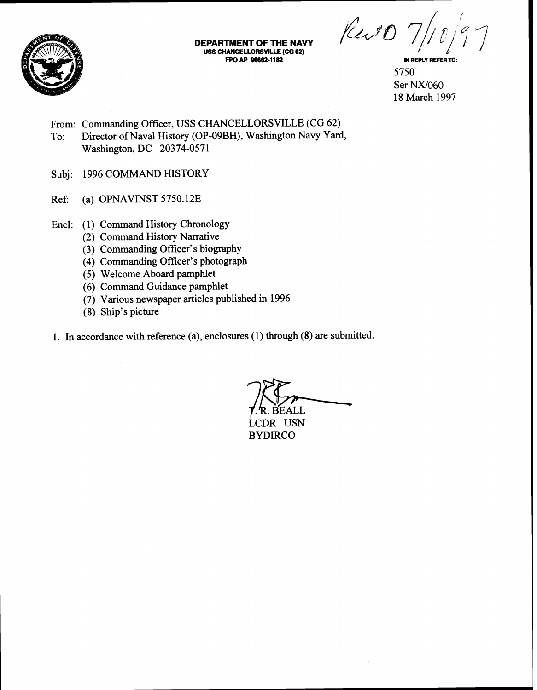

**DEPARTMENT OF THE NAVY USS CHANCELLORSVILLE (CG 62)**<br>FPO AP 96662-1182

Revo

**IN REPLY REFER TO:** 5750 Ser NX/060 18 March 1997

From: Commanding Officer, USS CHANCELLORSVILLE (CG 62) To: Director of Naval History (OP-09BH), Washington Navy Yard, Washington, DC 20374-0571

- Subj: 1996 COMMAND HISTORY
- Ref: (a) OPNAVINST 5750.12E
- Encl: (1) Command History Chronology
	- (2) Command History Narrative
	- (3) Commanding Officer's biography
	- (4) Commanding Officer's photograph
	- (5) Welcome Aboard pamphlet
	- (6) Command Guidance pamphlet
	- (7) Various newspaper articles published in 1996
	- (8) Ship's picture
- 1. In accordance with reference (a), enclosures (1) through (8) are submitted.

**BEALL** LCDR USN **BYDIRCO**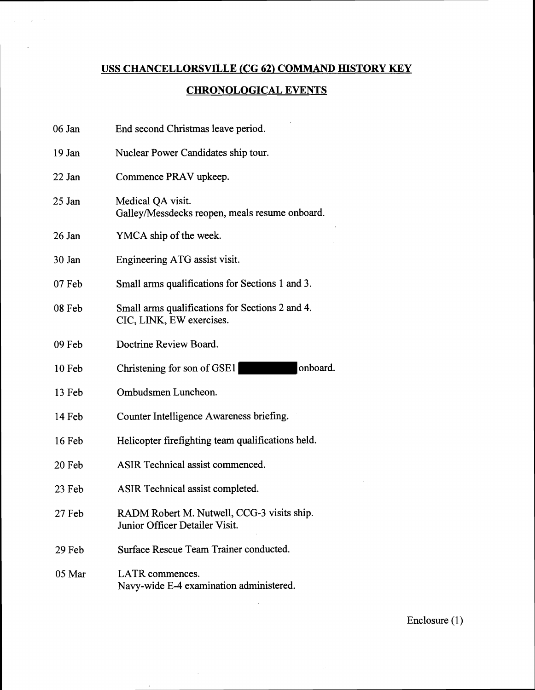## **USS CHANCELLORSVILLE** *(CG* **62) COMMAND HISTORY KEY**

 $\mathcal{L}$ 

## **CHRONOLOGICAL EVENTS**

| 06 Jan   | End second Christmas leave period.                                           |
|----------|------------------------------------------------------------------------------|
| 19 Jan   | Nuclear Power Candidates ship tour.                                          |
| 22 Jan   | Commence PRAV upkeep.                                                        |
| 25 Jan   | Medical QA visit.<br>Galley/Messdecks reopen, meals resume onboard.          |
| 26 Jan   | YMCA ship of the week.                                                       |
| 30 Jan   | Engineering ATG assist visit.                                                |
| $07$ Feb | Small arms qualifications for Sections 1 and 3.                              |
| 08 Feb   | Small arms qualifications for Sections 2 and 4.<br>CIC, LINK, EW exercises.  |
| 09 Feb   | Doctrine Review Board.                                                       |
| $10$ Feb | onboard.<br>Christening for son of GSE1                                      |
| 13 Feb   | Ombudsmen Luncheon.                                                          |
| 14 Feb   | Counter Intelligence Awareness briefing.                                     |
| 16 Feb   | Helicopter firefighting team qualifications held.                            |
| 20 Feb   | ASIR Technical assist commenced.                                             |
| 23 Feb   | ASIR Technical assist completed.                                             |
| 27 Feb   | RADM Robert M. Nutwell, CCG-3 visits ship.<br>Junior Officer Detailer Visit. |
| 29 Feb   | Surface Rescue Team Trainer conducted.                                       |
| 05 Mar   | LATR commences.<br>Navy-wide E-4 examination administered.                   |

 $\mathcal{L}^{\text{max}}_{\text{max}}$ 

 $\epsilon$ 

Enclosure (1)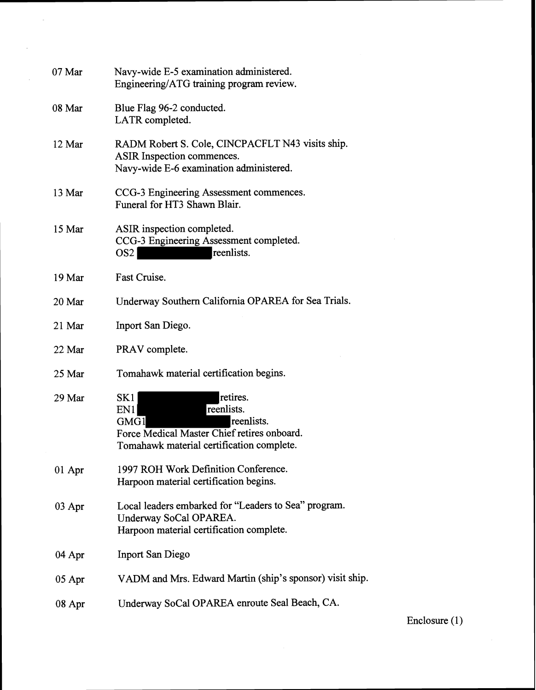| 07 Mar   | Navy-wide E-5 examination administered.<br>Engineering/ATG training program review.                                                                    |
|----------|--------------------------------------------------------------------------------------------------------------------------------------------------------|
| 08 Mar   | Blue Flag 96-2 conducted.<br>LATR completed.                                                                                                           |
| 12 Mar   | RADM Robert S. Cole, CINCPACFLT N43 visits ship.<br>ASIR Inspection commences.<br>Navy-wide E-6 examination administered.                              |
| 13 Mar   | CCG-3 Engineering Assessment commences.<br>Funeral for HT3 Shawn Blair.                                                                                |
| 15 Mar   | ASIR inspection completed.<br>CCG-3 Engineering Assessment completed.<br>reenlists.<br>OS2                                                             |
| 19 Mar   | Fast Cruise.                                                                                                                                           |
| 20 Mar   | Underway Southern California OPAREA for Sea Trials.                                                                                                    |
| 21 Mar   | Inport San Diego.                                                                                                                                      |
| 22 Mar   | PRAV complete.                                                                                                                                         |
| 25 Mar   | Tomahawk material certification begins.                                                                                                                |
| 29 Mar   | retires.<br>SK1<br>reenlists.<br>EN1<br>reenlists.<br>GMG1<br>Force Medical Master Chief retires onboard.<br>Tomahawk material certification complete. |
| $01$ Apr | 1997 ROH Work Definition Conference.<br>Harpoon material certification begins.                                                                         |
| $03$ Apr | Local leaders embarked for "Leaders to Sea" program.<br>Underway SoCal OPAREA.<br>Harpoon material certification complete.                             |
| 04 Apr   | <b>Inport San Diego</b>                                                                                                                                |
| $05$ Apr | VADM and Mrs. Edward Martin (ship's sponsor) visit ship.                                                                                               |
| 08 Apr   | Underway SoCal OPAREA enroute Seal Beach, CA.                                                                                                          |
|          |                                                                                                                                                        |

 $\sim$ 

 $\mathcal{L}^{\mathcal{L}}$ 

 $\sim$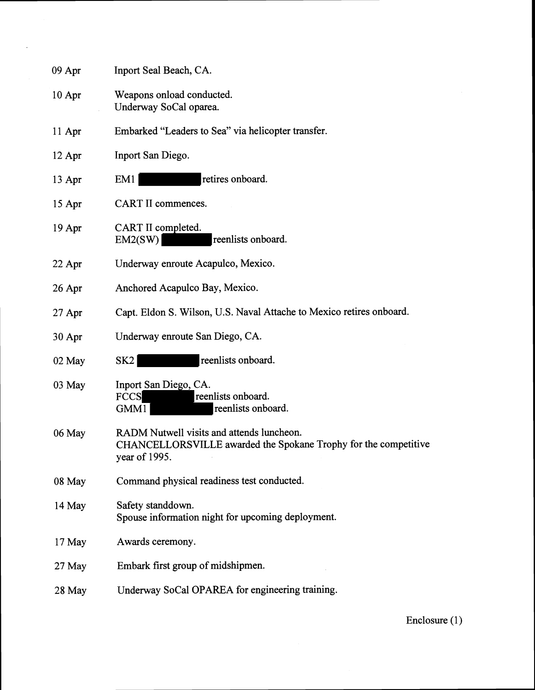| $09$ Apr | Inport Seal Beach, CA.                                                                                                        |
|----------|-------------------------------------------------------------------------------------------------------------------------------|
| 10 Apr   | Weapons onload conducted.<br>Underway SoCal oparea.                                                                           |
| 11 Apr   | Embarked "Leaders to Sea" via helicopter transfer.                                                                            |
| $12$ Apr | Inport San Diego.                                                                                                             |
| 13 Apr   | retires onboard.<br>EM1                                                                                                       |
| 15 Apr   | CART II commences.                                                                                                            |
| 19 Apr   | CART II completed.<br>reenlists onboard.<br>EM2(SW)                                                                           |
| $22$ Apr | Underway enroute Acapulco, Mexico.                                                                                            |
| $26$ Apr | Anchored Acapulco Bay, Mexico.                                                                                                |
| $27$ Apr | Capt. Eldon S. Wilson, U.S. Naval Attache to Mexico retires onboard.                                                          |
| 30 Apr   | Underway enroute San Diego, CA.                                                                                               |
| 02 May   | reenlists onboard.<br>SK2                                                                                                     |
| 03 May   | Inport San Diego, CA.<br><b>FCCS</b><br>reenlists onboard.<br>reenlists onboard.<br>GMM1                                      |
| 06 May   | RADM Nutwell visits and attends luncheon.<br>CHANCELLORSVILLE awarded the Spokane Trophy for the competitive<br>year of 1995. |
| 08 May   | Command physical readiness test conducted.                                                                                    |
| 14 May   | Safety standdown.<br>Spouse information night for upcoming deployment.                                                        |
| 17 May   | Awards ceremony.                                                                                                              |
| 27 May   | Embark first group of midshipmen.                                                                                             |
| 28 May   | Underway SoCal OPAREA for engineering training.                                                                               |

 $\sim$   $\sim$ 

Enclosure (1)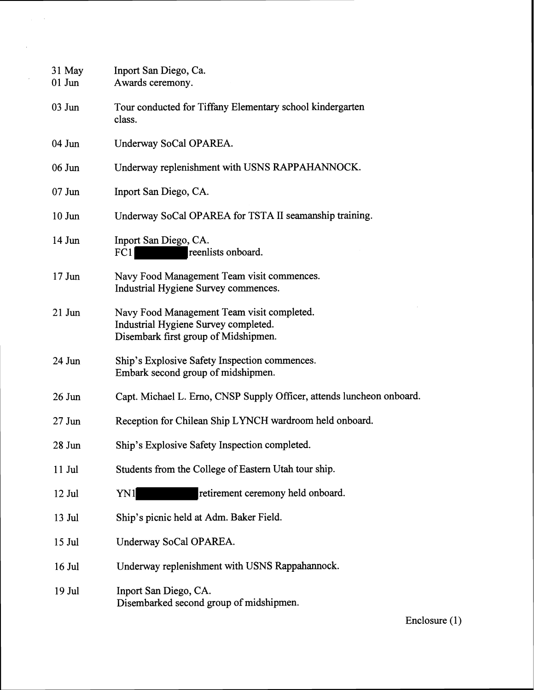| 31 May<br>$01$ Jun | Inport San Diego, Ca.<br>Awards ceremony.                                                                                  |
|--------------------|----------------------------------------------------------------------------------------------------------------------------|
| $03$ Jun           | Tour conducted for Tiffany Elementary school kindergarten<br>class.                                                        |
| $04$ Jun           | Underway SoCal OPAREA.                                                                                                     |
| 06 Jun             | Underway replenishment with USNS RAPPAHANNOCK.                                                                             |
| $07$ Jun           | Inport San Diego, CA.                                                                                                      |
| $10$ Jun           | Underway SoCal OPAREA for TSTA II seamanship training.                                                                     |
| $14$ Jun           | Inport San Diego, CA.<br>FC1<br>reenlists onboard.                                                                         |
| $17$ Jun           | Navy Food Management Team visit commences.<br>Industrial Hygiene Survey commences.                                         |
| $21$ Jun           | Navy Food Management Team visit completed.<br>Industrial Hygiene Survey completed.<br>Disembark first group of Midshipmen. |
| 24 Jun             | Ship's Explosive Safety Inspection commences.<br>Embark second group of midshipmen.                                        |
| $26$ Jun           | Capt. Michael L. Erno, CNSP Supply Officer, attends luncheon onboard.                                                      |
| $27$ Jun           | Reception for Chilean Ship LYNCH wardroom held onboard.                                                                    |
| $28$ Jun           | Ship's Explosive Safety Inspection completed.                                                                              |
| $11$ Jul           | Students from the College of Eastern Utah tour ship.                                                                       |
| $12$ Jul           | retirement ceremony held onboard.<br>YN1                                                                                   |
| $13$ Jul           | Ship's picnic held at Adm. Baker Field.                                                                                    |
| $15$ Jul           | Underway SoCal OPAREA.                                                                                                     |
| $16$ Jul           | Underway replenishment with USNS Rappahannock.                                                                             |
| 19 Jul             | Inport San Diego, CA.<br>Disembarked second group of midshipmen.                                                           |

 $\hat{\mathcal{A}}_{\text{max}}$ 

 $\sim 10^7$ 

 $\hat{\mathcal{A}}$ 

 $\sim 10^{-10}$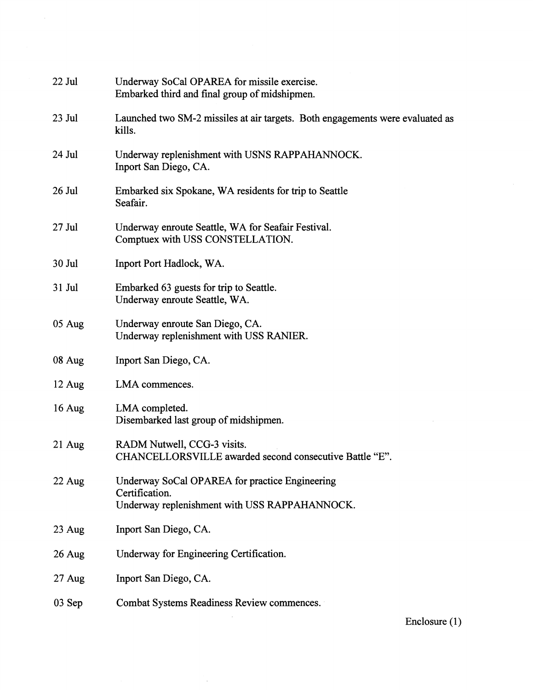| 22 Jul   | Underway SoCal OPAREA for missile exercise.<br>Embarked third and final group of midshipmen.                      |  |
|----------|-------------------------------------------------------------------------------------------------------------------|--|
| $23$ Jul | Launched two SM-2 missiles at air targets. Both engagements were evaluated as<br>kills.                           |  |
| 24 Jul   | Underway replenishment with USNS RAPPAHANNOCK.<br>Inport San Diego, CA.                                           |  |
| $26$ Jul | Embarked six Spokane, WA residents for trip to Seattle<br>Seafair.                                                |  |
| $27$ Jul | Underway enroute Seattle, WA for Seafair Festival.<br>Comptuex with USS CONSTELLATION.                            |  |
| 30 Jul   | Inport Port Hadlock, WA.                                                                                          |  |
| 31 Jul   | Embarked 63 guests for trip to Seattle.<br>Underway enroute Seattle, WA.                                          |  |
| 05 Aug   | Underway enroute San Diego, CA.<br>Underway replenishment with USS RANIER.                                        |  |
| 08 Aug   | Inport San Diego, CA.                                                                                             |  |
| 12 Aug   | LMA commences.                                                                                                    |  |
| 16 Aug   | LMA completed.<br>Disembarked last group of midshipmen.                                                           |  |
| 21 Aug   | RADM Nutwell, CCG-3 visits.<br>CHANCELLORSVILLE awarded second consecutive Battle "E".                            |  |
| 22 Aug   | Underway SoCal OPAREA for practice Engineering<br>Certification.<br>Underway replenishment with USS RAPPAHANNOCK. |  |
| 23 Aug   | Inport San Diego, CA.                                                                                             |  |
| 26 Aug   | Underway for Engineering Certification.                                                                           |  |
| 27 Aug   | Inport San Diego, CA.                                                                                             |  |
| $03$ Sep | Combat Systems Readiness Review commences.                                                                        |  |
|          |                                                                                                                   |  |

i.

 $\mathcal{L}$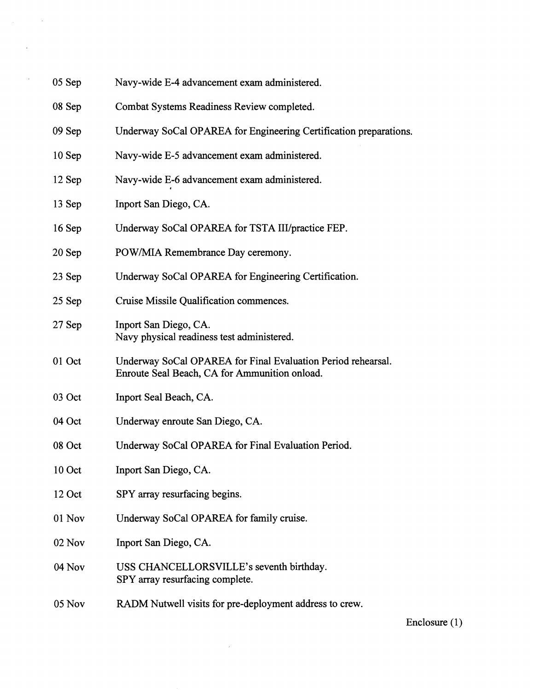| 05 Sep | Navy-wide E-4 advancement exam administered. |
|--------|----------------------------------------------|
|--------|----------------------------------------------|

- 08 Sep Combat Systems Readiness Review completed.
- 09 Sep Underway SoCal OPAREA for Engineering Certification preparations.
- 10 Sep Navy-wide E-5 advancement exam administered.
- 12 Sep Navy-wide E-6 advancement exam administered.
- 13 Sep Inport San Diego, CA.
- 16 Sep Underway SoCal OPAREA for TSTA III/practice FEP.
- 20 Sep POW/MIA Remembrance Day ceremony.
- 23 Sep Underway SoCal OPAREA for Engineering Certification.
- 25 Sep Cruise Missile Qualification commences.
- 27 Sep Inport San Diego, CA. Navy physical readiness test administered.
- 01 Oct Underway SoCal OPAREA for Final Evaluation Period rehearsal. Enroute Seal Beach, CA for Ammunition onload.
- 03 Oct Inport Seal Beach, CA.
- 04 Oct Underway enroute San Diego, CA.
- 08 Oct Underway SoCal OPAREA for Final Evaluation Period.
- 10 Oct Inport San Diego, CA.
- 12 Oct SPY array resurfacing begins.
- 01 Nov Underway SoCal OPAREA for family cruise.
- 02 Nov Inport San Diego, CA.
- 04 Nov USS CHANCELLORSVILLE's seventh birthday. SPY array resurfacing complete.
- 05 Nov RADM Nutwell visits for pre-deployment address to crew.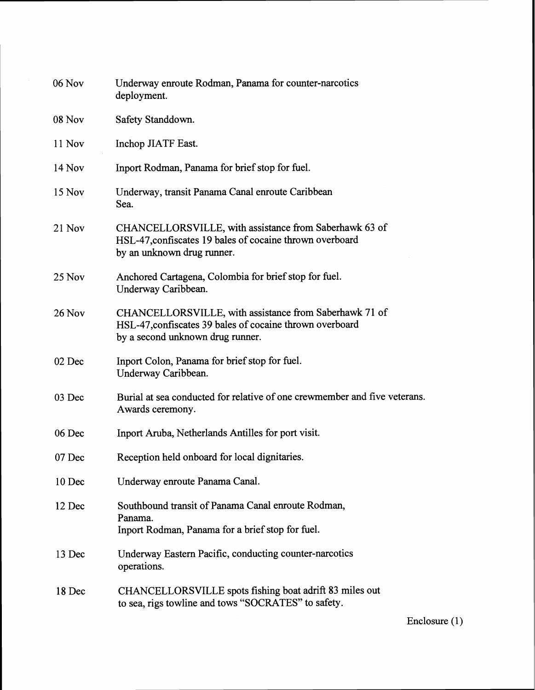| 06 Nov        | Underway enroute Rodman, Panama for counter-narcotics<br>deployment.                                                                                   |
|---------------|--------------------------------------------------------------------------------------------------------------------------------------------------------|
| 08 Nov        | Safety Standdown.                                                                                                                                      |
| 11 Nov        | Inchop JIATF East.                                                                                                                                     |
| <b>14 Nov</b> | Inport Rodman, Panama for brief stop for fuel.                                                                                                         |
| 15 Nov        | Underway, transit Panama Canal enroute Caribbean<br>Sea.                                                                                               |
| 21 Nov        | CHANCELLORSVILLE, with assistance from Saberhawk 63 of<br>HSL-47, confiscates 19 bales of cocaine thrown overboard<br>by an unknown drug runner.       |
| 25 Nov        | Anchored Cartagena, Colombia for brief stop for fuel.<br>Underway Caribbean.                                                                           |
| <b>26 Nov</b> | CHANCELLORSVILLE, with assistance from Saberhawk 71 of<br>HSL-47, confiscates 39 bales of cocaine thrown overboard<br>by a second unknown drug runner. |
| 02 Dec        | Inport Colon, Panama for brief stop for fuel.<br>Underway Caribbean.                                                                                   |
| 03 Dec        | Burial at sea conducted for relative of one crewmember and five veterans.<br>Awards ceremony.                                                          |
| 06 Dec        | Inport Aruba, Netherlands Antilles for port visit.                                                                                                     |
| 07 Dec        | Reception held onboard for local dignitaries.                                                                                                          |
| 10 Dec        | Underway enroute Panama Canal.                                                                                                                         |
| 12 Dec        | Southbound transit of Panama Canal enroute Rodman,<br>Panama.<br>Inport Rodman, Panama for a brief stop for fuel.                                      |
| 13 Dec        | Underway Eastern Pacific, conducting counter-narcotics<br>operations.                                                                                  |
| 18 Dec        | CHANCELLORSVILLE spots fishing boat adrift 83 miles out<br>to sea, rigs towline and tows "SOCRATES" to safety.                                         |

Enclosure (1)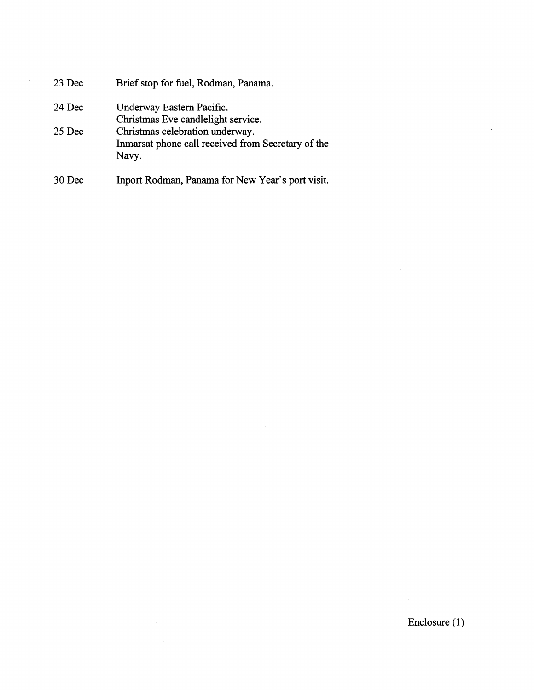| 23 Dec | Brief stop for fuel, Rodman, Panama.               |
|--------|----------------------------------------------------|
| 24 Dec | Underway Eastern Pacific.                          |
|        | Christmas Eve candlelight service.                 |
| 25 Dec | Christmas celebration underway.                    |
|        | Inmarsat phone call received from Secretary of the |
|        | Navy.                                              |
|        |                                                    |

30 Dec Inport Rodman, Panama for New Year's port visit.

 $\mathcal{L}$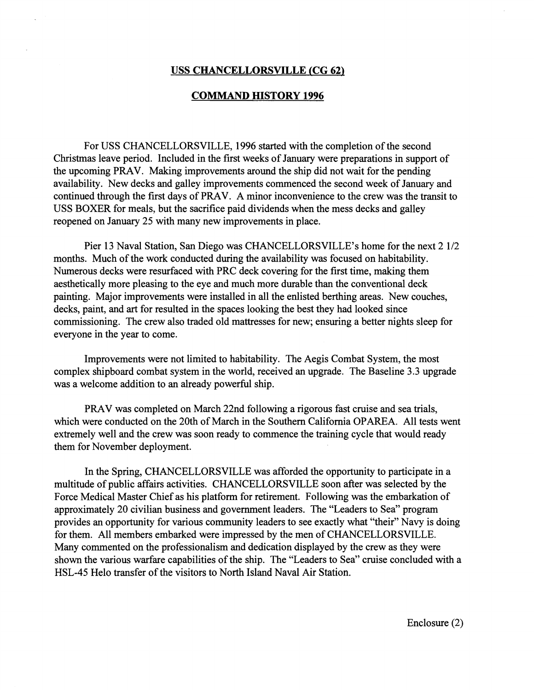## **USS CHANCELLORSVILLE (CG 62)**

## **COMMAND HISTORY 1996**

For USS CHANCELLORSVILLE, 1996 started with the completion of the second Christmas leave period. Included in the first weeks of January were preparations in support of the upcoming PRAV. Making improvements around the ship did not wait for the pending availability. New decks and galley improvements commenced the second week of January and continued through the first days of PRAV. A minor inconvenience to the crew was the transit to USS BOXER for meals, but the sacrifice paid dividends when the mess decks and galley reopened on January 25 with many new improvements in place.

Pier 13 Naval Station, San Diego was CHANCELLORSVILLE's home for the next 2 1/2 months. Much of the work conducted during the availability was focused on habitability. Numerous decks were resurfaced with PRC deck covering for the first time, making them aesthetically more pleasing to the eye and much more durable than the conventional deck painting. Major improvements were installed in all the enlisted berthing areas. New couches, decks, paint, and art for resulted in the spaces looking the best they had looked since commissioning. The crew also traded old mattresses for new; ensuring a better nights sleep for everyone in the year to come.

Improvements were not limited to habitability. The Aegis Combat System, the most complex shipboard combat system in the world, received an upgrade. The Baseline 3.3 upgrade was a welcome addition to an already powerful ship.

PRAV was completed on March 22nd following a rigorous fast cruise and sea trials, which were conducted on the 20th of March in the Southern California OPAREA. All tests went extremely well and the crew was soon ready to commence the training cycle that would ready them for November deployment.

In the Spring, CHANCELLORSVILLE was afforded the opportunity to participate in a multitude of public affairs activities. CHANCELLORSVILLE soon after was selected by the Force Medical Master Chief as his platform for retirement. Following was the embarkation of approximately 20 civilian business and government leaders. The "Leaders to Sea" program provides an opportunity for various community leaders to see exactly what "their" Navy is doing for them. All members embarked were impressed by the men of CHANCELLORSVILLE. Many commented on the professionalism and dedication displayed by the crew as they were shown the various warfare capabilities of the ship. The "Leaders to Sea" cruise concluded with a HSL-45 Helo transfer of the visitors to North Island Naval Air Station.

Enclosure (2)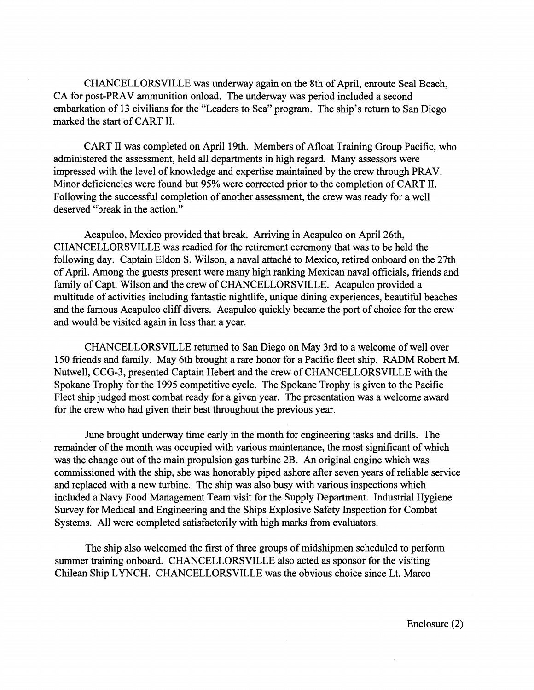CHANCELLORSVILLE was underway again on the 8th of April, enroute Seal Beach, CA for post-PRAV ammunition onload. The underway was period included a second embarkation of 13 civilians for the "Leaders to Sea" program. The ship's return to San Diego marked the start of CART 11.

CART I1 was completed on April 19th. Members of Afloat Training Group Pacific, who administered the assessment, held all departments in high regard. Many assessors were impressed with the level of knowledge and expertise maintained by the crew through PRAV. Minor deficiencies were found but 95% were corrected prior to the completion of CART 11. Following the successful completion of another assessment, the crew was ready for a well deserved "break in the action."

Acapulco, Mexico provided that break. Arriving in Acapulco on April 26th, CHANCELLORSVILLE was readied for the retirement ceremony that was to be held the following day. Captain Eldon S. Wilson, a naval attaché to Mexico, retired onboard on the 27th of April. Among the guests present were many high ranking Mexican naval officials, friends and family of Capt. Wilson and the crew of CHANCELLORSVILLE. Acapulco provided a multitude of activities including fantastic nightlife, unique dining experiences, beautiful beaches and the famous Acapulco cliff divers. Acapulco quickly became the port of choice for the crew and would be visited again in less than a year.

CHANCELLORSVILLE returned to San Diego on May 3rd to a welcome of well over 150 friends and family. May 6th brought a rare honor for a Pacific fleet ship. RADM Robert M. Nutwell, CCG-3, presented Captain Hebert and the crew of CHANCELLORSVILLE with the Spokane Trophy for the 1995 competitive cycle. The Spokane Trophy is given to the Pacific Fleet ship judged most combat ready for a given year. The presentation was a welcome award for the crew who had given their best throughout the previous year.

June brought underway time early in the month for engineering tasks and drills. The remainder of the month was occupied with various maintenance, the most significant of which was the change out of the main propulsion gas turbine 2B. **An** original engine which was commissioned with the ship, she was honorably piped ashore after seven years of reliable service and replaced with a new turbine. The ship was also busy with various inspections which included a Navy Food Management Team visit for the Supply Department. Industrial Hygiene Survey for Medical and Engineering and the Ships Explosive Safety Inspection for Combat Systems. All were completed satisfactorily with high marks from evaluators.

The ship also welcomed the first of three groups of midshipmen scheduled to perform summer training onboard. CHANCELLORSVILLE also acted as sponsor for the visiting Chilean Ship LYNCH. CHANCELLORSVILLE was the obvious choice since Lt. Marco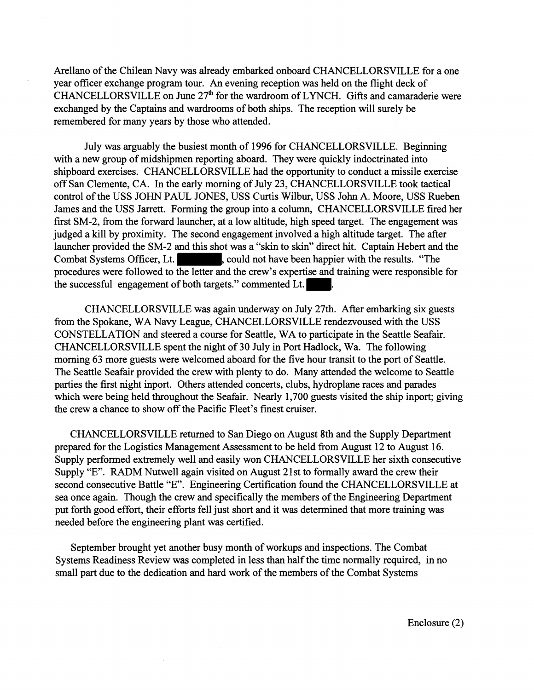Arellano of the Chilean Navy was already embarked onboard CHANCELLORSVILLE for a one year officer exchange program tour. **An** evening reception was held on the flight deck of CHANCELLORSVILLE on June 27<sup>th</sup> for the wardroom of LYNCH. Gifts and camaraderie were exchanged by the Captains and wardrooms of both ships. The reception will surely be remembered for many years by those who attended.

July was arguably the busiest month of 1996 for CHANCELLORSVILLE. Beginning with a new group of midshipmen reporting aboard. They were quickly indoctrinated into shipboard exercises. CHANCELLORSVILLE had the opportunity to conduct a missile exercise off San Clemente, CA. In the early morning of July 23, CHANCELLORSVILLE took tactical control of the USS JOHN PAUL JONES, USS Curtis Wilbur, USS John A. Moore, USS Rueben James and the USS Jarrett. Forming the group into a column, CHANCELLORSVILLE fired her first SM-2, from the forward launcher, at a low altitude, high speed target. The engagement was judged a kill by proximity. The second engagement involved a high altitude target. The after launcher provided the SM-2 and this shot was a "skin to skin" direct hit. Captain Hebert and the Combat Systems Officer, Lt. , could not have been happier with the results. "The procedures were followed to the letter and the crew's expertise and training were responsible for the successful engagement of both targets." commented Lt.

CHANCELLORSVILLE was again underway on July 27th. After embarking six guests from the Spokane, WA Navy League, CHANCELLORSVILLE rendezvoused with the USS CONSTELLATION and steered a course for Seattle, WA to participate in the Seattle Seafair. CHANCELLORSVILLE spent the night of 30 July in Port Hadlock, Wa. The following morning 63 more guests were welcomed aboard for the five hour transit to the port of Seattle. The Seattle Seafair provided the crew with plenty to do. Many attended the welcome to Seattle parties the first night inport. Others attended concerts, clubs, hydroplane races and parades which were being held throughout the Seafair. Nearly 1,700 guests visited the ship inport; giving the crew a chance to show off the Pacific Fleet's finest cruiser.

CHANCELLORSVILLE returned to San Diego on August 8th and the Supply Department prepared for the Logistics Management Assessment to be held from August 12 to August 16. Supply performed extremely well and easily won CHANCELLORSVILLE her sixth consecutive Supply "E". RADM Nutwell again visited on August 21st to formally award the crew their second consecutive Battle "E". Engineering Certification found the CHANCELLORSVILLE at sea once again. Though the crew and specifically the members of the Engineering Department put forth good effort, their efforts fell just short and it was determined that more training was needed before the engineering plant was certified.

September brought yet another busy month of workups and inspections. The Combat Systems Readiness Review was completed in less than half the time normally required, in no small part due to the dedication and hard work of the members of the Combat Systems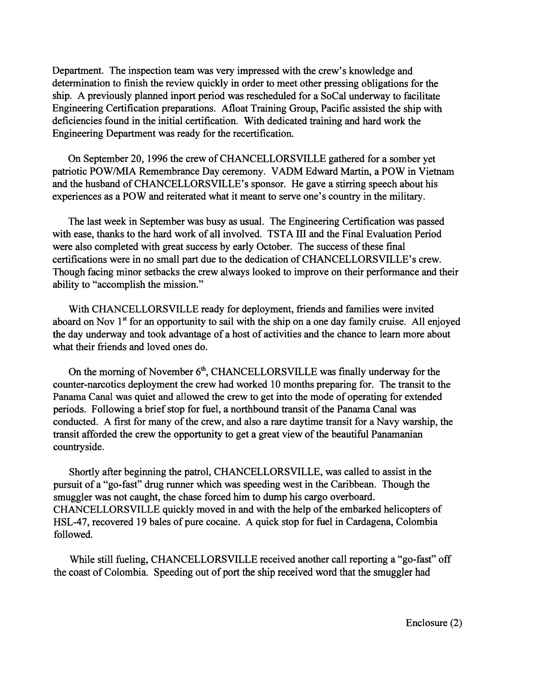Department. The inspection team was very impressed with the crew's knowledge and determination to finish the review quickly in order to meet other pressing obligations for the ship. A previously planned inport period was rescheduled for a SoCal underway to facilitate Engineering Certification preparations. Afloat Training Group, Pacific assisted the ship with deficiencies found in the initial certification. With dedicated training and hard work the Engineering Department was ready for the recertification.

On September 20,1996 the crew of CHANCELLORSVILLE gathered for a somber yet patriotic POWIMIA Remembrance Day ceremony. VADM Edward Martin, a POW in Vietnam and the husband of CHANCELLORSVILLE's sponsor. He gave a stirring speech about his experiences as a POW and reiterated what it meant to serve one's country in the military.

The last week in September was busy as usual. The Engineering Certification was passed with ease, thanks to the hard work of all involved. TSTA I11 and the Final Evaluation Period were also completed with great success by early October. The success of these final certifications were in no small part due to the dedication of CHANCELLORSVILLE's crew. Though facing minor setbacks the crew always looked to improve on their performance and their ability to "accomplish the mission."

With CHANCELLORSVILLE ready for deployment, friends and families were invited aboard on Nov 1<sup>st</sup> for an opportunity to sail with the ship on a one day family cruise. All enjoyed the day underway and took advantage of a host of activities and the chance to learn more about what their friends and loved ones do.

On the morning of November  $6<sup>th</sup>$ , CHANCELLORSVILLE was finally underway for the counter-narcotics deployment the crew had worked 10 months preparing for. The transit to the Panama Canal was quiet and allowed the crew to get into the mode of operating for extended periods. Following a brief stop for fuel, a northbound transit of the Panama Canal was conducted. A first for many of the crew, and also a rare daytime transit for a Navy warship, the transit afforded the crew the opportunity to get a great view of the beautiful Panamanian countryside.

Shortly after beginning the patrol, CHANCELLORSVILLE, was called to assist in the pursuit of a "go-fast" drug runner which was speeding west in the Caribbean. Though the smuggler was not caught, the chase forced him to dump his cargo overboard. CHANCELLORSVILLE quickly moved in and with the help of the embarked helicopters of HSL-47, recovered 19 bales of pure cocaine. A quick stop for fuel in Cardagena, Colombia followed.

While still fueling, CHANCELLORSVILLE received another call reporting a "go-fast" off the coast of Colombia. Speeding out of port the ship received word that the smuggler had